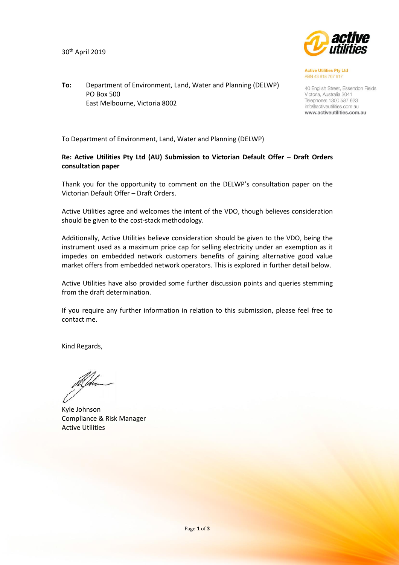30th April 2019



**Active Utilities Pty Ltd** ABN 43 818 767 917

40 English Street, Essendon Fields Victoria, Australia 3041 Telephone: 1300 587 623 info@activeutilities.com.au www.activeutilities.com.au

**To:** Department of Environment, Land, Water and Planning (DELWP) PO Box 500 East Melbourne, Victoria 8002

To Department of Environment, Land, Water and Planning (DELWP)

# **Re: Active Utilities Pty Ltd (AU) Submission to Victorian Default Offer – Draft Orders consultation paper**

Thank you for the opportunity to comment on the DELWP's consultation paper on the Victorian Default Offer – Draft Orders.

Active Utilities agree and welcomes the intent of the VDO, though believes consideration should be given to the cost-stack methodology.

Additionally, Active Utilities believe consideration should be given to the VDO, being the instrument used as a maximum price cap for selling electricity under an exemption as it impedes on embedded network customers benefits of gaining alternative good value market offers from embedded network operators. This is explored in further detail below.

Active Utilities have also provided some further discussion points and queries stemming from the draft determination.

If you require any further information in relation to this submission, please feel free to contact me.

Kind Regards,

Kyle Johnson Compliance & Risk Manager Active Utilities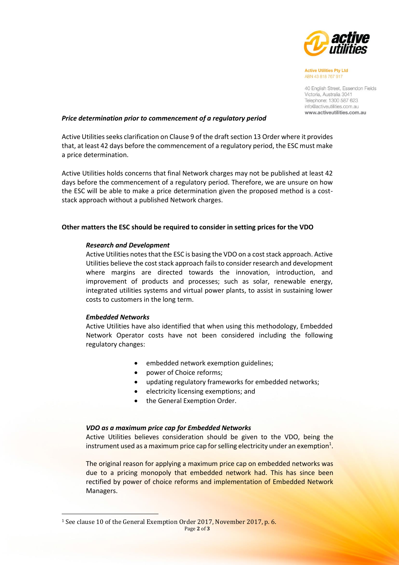

**Active Utilities Pty Ltd** ABN 43 818 767 917

40 English Street, Essendon Fields Victoria, Australia 3041 Telephone: 1300 587 623 info@activeutilities.com.au www.activeutilities.com.au

### *Price determination prior to commencement of a regulatory period*

Active Utilities seeks clarification on Clause 9 of the draft section 13 Order where it provides that, at least 42 days before the commencement of a regulatory period, the ESC must make a price determination.

Active Utilities holds concerns that final Network charges may not be published at least 42 days before the commencement of a regulatory period. Therefore, we are unsure on how the ESC will be able to make a price determination given the proposed method is a coststack approach without a published Network charges.

## **Other matters the ESC should be required to consider in setting prices for the VDO**

### *Research and Development*

Active Utilities notes that the ESC is basing the VDO on a cost stack approach. Active Utilities believe the cost stack approach fails to consider research and development where margins are directed towards the innovation, introduction, and improvement of products and processes; such as solar, renewable energy, integrated utilities systems and virtual power plants, to assist in sustaining lower costs to customers in the long term.

#### *Embedded Networks*

 $\overline{\phantom{a}}$ 

Active Utilities have also identified that when using this methodology, Embedded Network Operator costs have not been considered including the following regulatory changes:

- embedded network exemption guidelines;
- power of Choice reforms;
- updating regulatory frameworks for embedded networks;
- electricity licensing exemptions; and
- the General Exemption Order.

#### *VDO as a maximum price cap for Embedded Networks*

Active Utilities believes consideration should be given to the VDO, being the instrument used as a maximum price cap for selling electricity under an exemption $^1$ .

The original reason for applying a maximum price cap on embedded networks was due to a pricing monopoly that embedded network had. This has since been rectified by power of choice reforms and implementation of Embedded Network Managers.

Page **2** of **3** <sup>1</sup> See clause 10 of the General Exemption Order 2017, November 2017, p. 6.